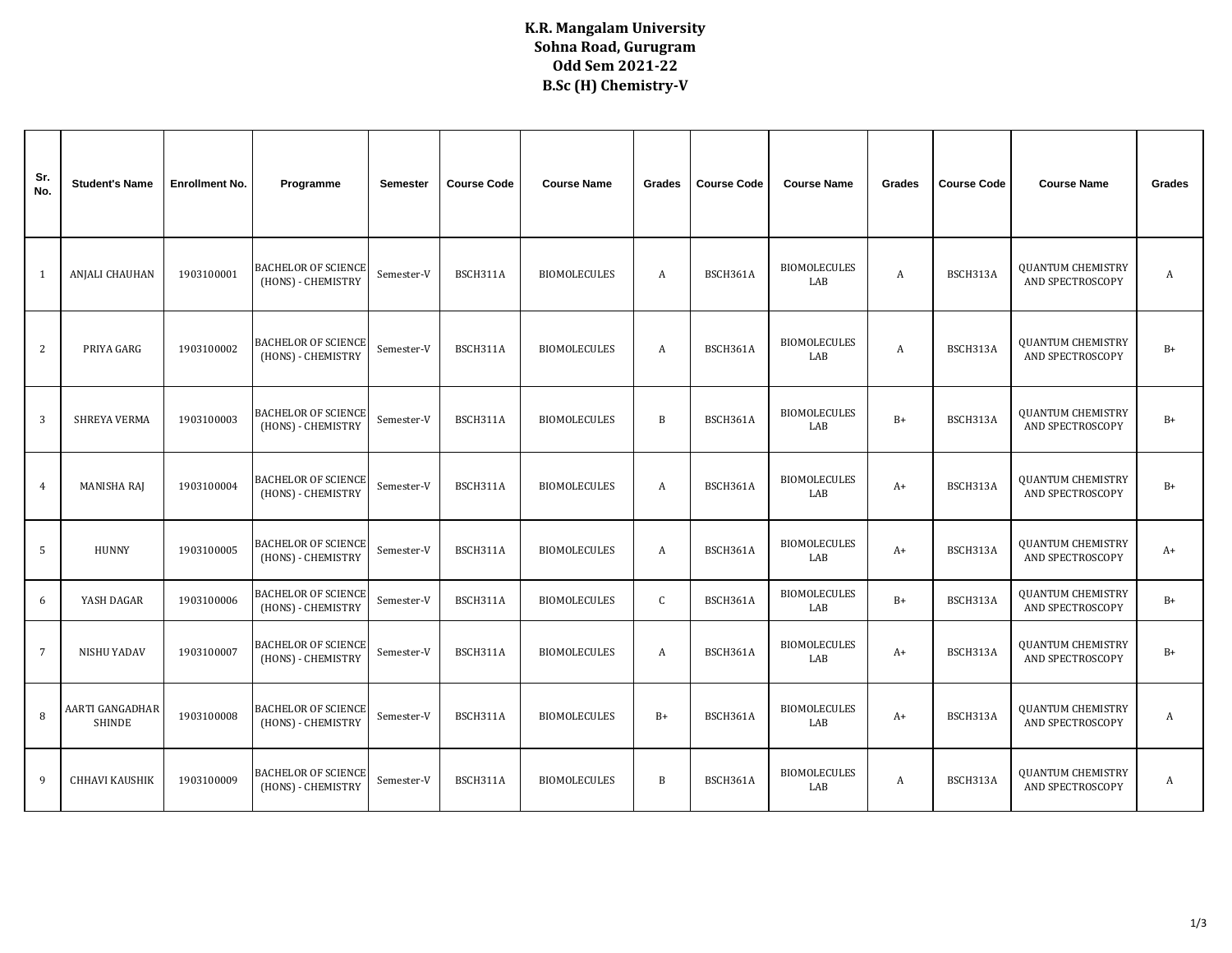## **K.R. Mangalam University Sohna Road, Gurugram Odd Sem 2021-22 B.Sc (H) Chemistry-V**

| Sr.<br>No.     | <b>Student's Name</b>            | <b>Enrollment No.</b> | Programme                                        | <b>Semester</b> | <b>Course Code</b> | <b>Course Name</b>  | Grades       | <b>Course Code</b> | <b>Course Name</b>         | Grades | <b>Course Code</b> | <b>Course Name</b>                                  | Grades |
|----------------|----------------------------------|-----------------------|--------------------------------------------------|-----------------|--------------------|---------------------|--------------|--------------------|----------------------------|--------|--------------------|-----------------------------------------------------|--------|
| 1              | ANJALI CHAUHAN                   | 1903100001            | <b>BACHELOR OF SCIENCE</b><br>(HONS) - CHEMISTRY | Semester-V      | BSCH311A           | <b>BIOMOLECULES</b> | A            | BSCH361A           | <b>BIOMOLECULES</b><br>LAB | A      | BSCH313A           | <b>QUANTUM CHEMISTRY</b><br>AND SPECTROSCOPY        | A      |
| 2              | PRIYA GARG                       | 1903100002            | BACHELOR OF SCIENCE<br>(HONS) - CHEMISTRY        | Semester-V      | BSCH311A           | <b>BIOMOLECULES</b> | A            | BSCH361A           | <b>BIOMOLECULES</b><br>LAB | A      | BSCH313A           | <b>QUANTUM CHEMISTRY</b><br>AND SPECTROSCOPY        | $B+$   |
| 3              | <b>SHREYA VERMA</b>              | 1903100003            | <b>BACHELOR OF SCIENCE</b><br>(HONS) - CHEMISTRY | Semester-V      | BSCH311A           | <b>BIOMOLECULES</b> | $\, {\bf B}$ | BSCH361A           | <b>BIOMOLECULES</b><br>LAB | $B+$   | BSCH313A           | <b>QUANTUM CHEMISTRY</b><br><b>AND SPECTROSCOPY</b> | $B+$   |
| $\overline{4}$ | MANISHA RAJ                      | 1903100004            | BACHELOR OF SCIENCE<br>(HONS) - CHEMISTRY        | Semester-V      | BSCH311A           | <b>BIOMOLECULES</b> | A            | BSCH361A           | <b>BIOMOLECULES</b><br>LAB | $A+$   | BSCH313A           | <b>QUANTUM CHEMISTRY</b><br>AND SPECTROSCOPY        | $B+$   |
| 5              | <b>HUNNY</b>                     | 1903100005            | <b>BACHELOR OF SCIENCE</b><br>(HONS) - CHEMISTRY | Semester-V      | BSCH311A           | <b>BIOMOLECULES</b> | A            | BSCH361A           | <b>BIOMOLECULES</b><br>LAB | $A+$   | BSCH313A           | <b>QUANTUM CHEMISTRY</b><br>AND SPECTROSCOPY        | $A+$   |
| 6              | YASH DAGAR                       | 1903100006            | <b>BACHELOR OF SCIENCE</b><br>(HONS) - CHEMISTRY | Semester-V      | BSCH311A           | <b>BIOMOLECULES</b> | $\mathsf{C}$ | BSCH361A           | <b>BIOMOLECULES</b><br>LAB | $B+$   | BSCH313A           | <b>QUANTUM CHEMISTRY</b><br>AND SPECTROSCOPY        | $B+$   |
| $\overline{7}$ | NISHU YADAV                      | 1903100007            | <b>BACHELOR OF SCIENCE</b><br>(HONS) - CHEMISTRY | Semester-V      | BSCH311A           | <b>BIOMOLECULES</b> | A            | BSCH361A           | <b>BIOMOLECULES</b><br>LAB | $A+$   | BSCH313A           | <b>QUANTUM CHEMISTRY</b><br>AND SPECTROSCOPY        | $B+$   |
| 8              | AARTI GANGADHAR<br><b>SHINDE</b> | 1903100008            | <b>BACHELOR OF SCIENCE</b><br>(HONS) - CHEMISTRY | Semester-V      | BSCH311A           | <b>BIOMOLECULES</b> | $B+$         | BSCH361A           | <b>BIOMOLECULES</b><br>LAB | $A+$   | BSCH313A           | <b>QUANTUM CHEMISTRY</b><br>AND SPECTROSCOPY        | A      |
| 9              | <b>CHHAVI KAUSHIK</b>            | 1903100009            | <b>BACHELOR OF SCIENCE</b><br>(HONS) - CHEMISTRY | Semester-V      | BSCH311A           | <b>BIOMOLECULES</b> | $\, {\bf B}$ | BSCH361A           | <b>BIOMOLECULES</b><br>LAB | A      | BSCH313A           | <b>QUANTUM CHEMISTRY</b><br>AND SPECTROSCOPY        | A      |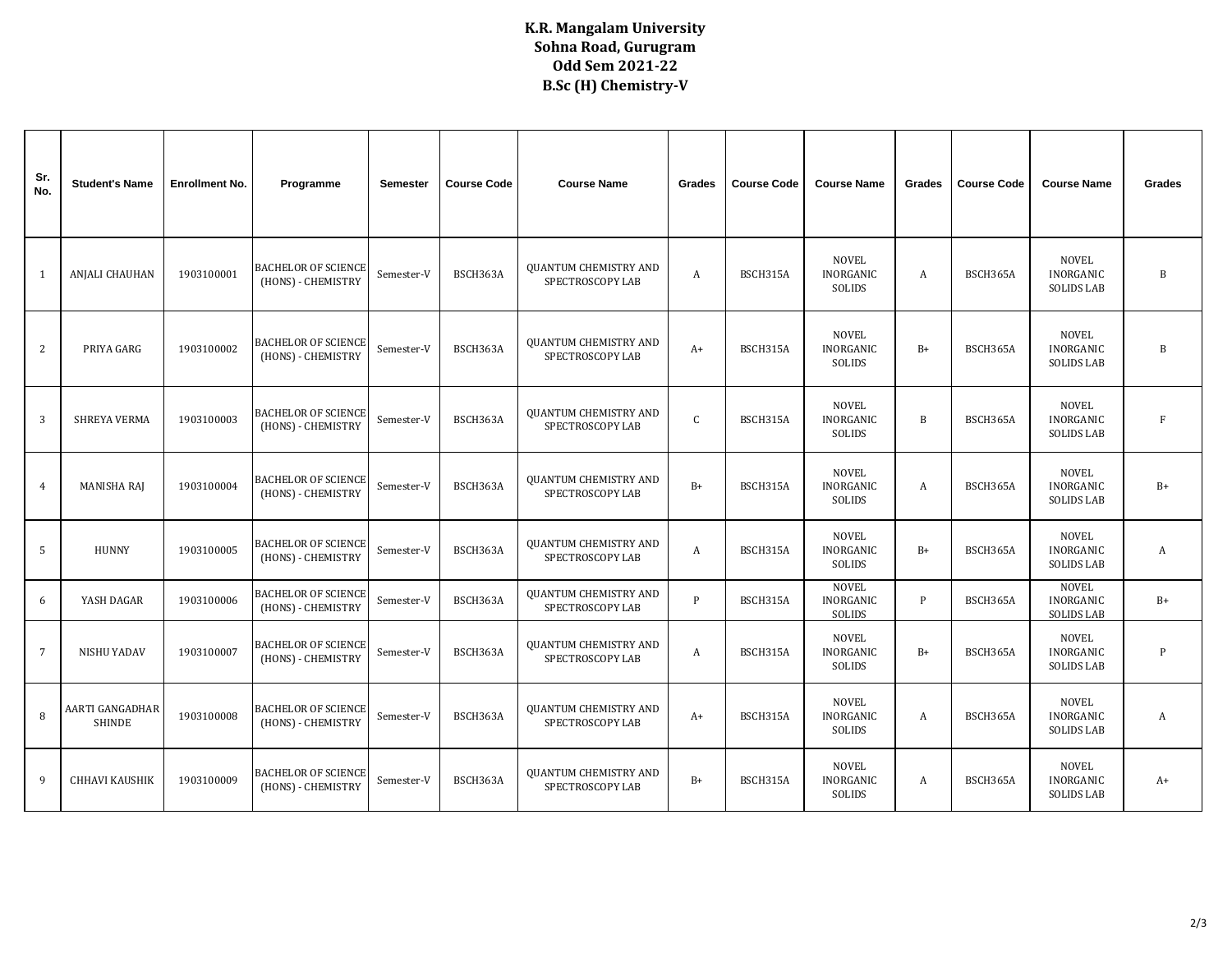## **K.R. Mangalam University Sohna Road, Gurugram Odd Sem 2021-22 B.Sc (H) Chemistry-V**

| Sr.<br>No.      | <b>Student's Name</b>            | <b>Enrollment No.</b> | Programme                                        | Semester   | <b>Course Code</b> | <b>Course Name</b>                               | Grades           | <b>Course Code</b> | <b>Course Name</b>                         | Grades | <b>Course Code</b> | <b>Course Name</b>                                    | <b>Grades</b> |
|-----------------|----------------------------------|-----------------------|--------------------------------------------------|------------|--------------------|--------------------------------------------------|------------------|--------------------|--------------------------------------------|--------|--------------------|-------------------------------------------------------|---------------|
| 1               | <b>ANJALI CHAUHAN</b>            | 1903100001            | <b>BACHELOR OF SCIENCE</b><br>(HONS) - CHEMISTRY | Semester-V | BSCH363A           | <b>QUANTUM CHEMISTRY AND</b><br>SPECTROSCOPY LAB | A                | BSCH315A           | <b>NOVEL</b><br>INORGANIC<br>SOLIDS        | A      | BSCH365A           | <b>NOVEL</b><br>INORGANIC<br><b>SOLIDS LAB</b>        | B             |
| $\overline{2}$  | PRIYA GARG                       | 1903100002            | <b>BACHELOR OF SCIENCE</b><br>(HONS) - CHEMISTRY | Semester-V | BSCH363A           | <b>QUANTUM CHEMISTRY AND</b><br>SPECTROSCOPY LAB | $A+$             | BSCH315A           | <b>NOVEL</b><br><b>INORGANIC</b><br>SOLIDS | $B+$   | BSCH365A           | <b>NOVEL</b><br>INORGANIC<br><b>SOLIDS LAB</b>        | B             |
| 3               | <b>SHREYA VERMA</b>              | 1903100003            | <b>BACHELOR OF SCIENCE</b><br>(HONS) - CHEMISTRY | Semester-V | BSCH363A           | <b>QUANTUM CHEMISTRY AND</b><br>SPECTROSCOPY LAB | $\mathsf{C}$     | BSCH315A           | <b>NOVEL</b><br>INORGANIC<br>SOLIDS        | B      | BSCH365A           | <b>NOVEL</b><br>INORGANIC<br><b>SOLIDS LAB</b>        | $\mathbf{F}$  |
| $\overline{4}$  | <b>MANISHA RAJ</b>               | 1903100004            | <b>BACHELOR OF SCIENCE</b><br>(HONS) - CHEMISTRY | Semester-V | BSCH363A           | <b>QUANTUM CHEMISTRY AND</b><br>SPECTROSCOPY LAB | $B+$             | BSCH315A           | <b>NOVEL</b><br>INORGANIC<br><b>SOLIDS</b> | A      | BSCH365A           | <b>NOVEL</b><br>INORGANIC<br><b>SOLIDS LAB</b>        | $B+$          |
| 5               | <b>HUNNY</b>                     | 1903100005            | <b>BACHELOR OF SCIENCE</b><br>(HONS) - CHEMISTRY | Semester-V | BSCH363A           | <b>QUANTUM CHEMISTRY AND</b><br>SPECTROSCOPY LAB | $\boldsymbol{A}$ | BSCH315A           | <b>NOVEL</b><br><b>INORGANIC</b><br>SOLIDS | $B+$   | BSCH365A           | <b>NOVEL</b><br>INORGANIC<br><b>SOLIDS LAB</b>        | A             |
| 6               | YASH DAGAR                       | 1903100006            | <b>BACHELOR OF SCIENCE</b><br>(HONS) - CHEMISTRY | Semester-V | BSCH363A           | <b>QUANTUM CHEMISTRY AND</b><br>SPECTROSCOPY LAB | $\mathbf{P}$     | BSCH315A           | <b>NOVEL</b><br><b>INORGANIC</b><br>SOLIDS | P      | BSCH365A           | <b>NOVEL</b><br>INORGANIC<br><b>SOLIDS LAB</b>        | $B+$          |
| $7\phantom{.0}$ | NISHU YADAV                      | 1903100007            | <b>BACHELOR OF SCIENCE</b><br>(HONS) - CHEMISTRY | Semester-V | BSCH363A           | <b>QUANTUM CHEMISTRY AND</b><br>SPECTROSCOPY LAB | A                | BSCH315A           | <b>NOVEL</b><br>INORGANIC<br>SOLIDS        | $B+$   | BSCH365A           | <b>NOVEL</b><br>INORGANIC<br><b>SOLIDS LAB</b>        | P             |
| 8               | AARTI GANGADHAR<br><b>SHINDE</b> | 1903100008            | <b>BACHELOR OF SCIENCE</b><br>(HONS) - CHEMISTRY | Semester-V | BSCH363A           | <b>QUANTUM CHEMISTRY AND</b><br>SPECTROSCOPY LAB | $A+$             | BSCH315A           | <b>NOVEL</b><br>INORGANIC<br>SOLIDS        | A      | BSCH365A           | <b>NOVEL</b><br><b>INORGANIC</b><br><b>SOLIDS LAB</b> | $\mathbf{A}$  |
| 9               | <b>CHHAVI KAUSHIK</b>            | 1903100009            | <b>BACHELOR OF SCIENCE</b><br>(HONS) - CHEMISTRY | Semester-V | BSCH363A           | <b>QUANTUM CHEMISTRY AND</b><br>SPECTROSCOPY LAB | $B+$             | BSCH315A           | <b>NOVEL</b><br><b>INORGANIC</b><br>SOLIDS | A      | BSCH365A           | <b>NOVEL</b><br>INORGANIC<br><b>SOLIDS LAB</b>        | $A+$          |